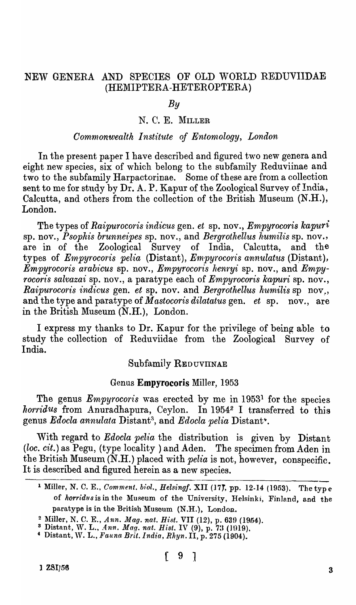# NEW GENERA AND SPECIES OF OLD WORLD REDUVIIDAE (HEMIPTERA -HETEROPTERA)

# *By*

### N. C. E. MILLER

# *Commonwealth Institute of* Enton~ology, *London*

In the present paper I have described and figured two new genera and eight new species, six of which belong to the subfamily Reduviinae and two to the subfamily Harpactorinae. Some of these are from a collection sent to me for study by Dr. A. P. Kapur of the Zoological Survey of India, Calcutta, and others from the collection of the British Museum (N.H.), London.

The types of *Raipurocoris indicus* gen. *et* sp. nov., *Empyrocoris kapuri* sp. nov., *Psophis brunneipes* sp. nov., and *Bergrothellus humilis* sp. nov., are in of the Zoological Survey of India, Calcutta, and the types of *Empyrocoris pelia* (Distant), *Empyrocoris annulatus* (Distant), *Empyrocoris arabicus* sp. nov., *Empyrocoris henryi* sp. nov., and *Empyrocoris salvazai* sp. nov., a paratype each of *Empyrocoris kapuri* sp. nov., *Raipurocoris indicus* gen. *et* sp. nov. and *Bergrothellus humilis* sp nov., and the type and paratype of *Mastocoris dilatatus* gen. *et* sp. nov., are in the British Museum (N.H.), London.

I express my thanks to Dr. Kapur for the privilege of being able to study the collection of Reduviidae from the Zoological Survey of India.

### Subfamily REDUVIINAE

### Genus Empyrocoris Miller, 1953

The genus *Empyrocoris* was erected by me in 19531 for the species *horridus* from Anuradhapura, Ceylon. In 19542 I transferred to this genus *Edocla annulata* Distant3 , and *Edocla pelia* Distant~.

With regard to *Edocla pelia* the distribution is given by Distant *(loc. cit.)* as Pegu, (type locality) and Aden. The specimen from Aden in the British Museum (N.H.) placed with *pelia* is not, however, conspecific. It is described and figured herein as a new species.

<sup>&</sup>lt;sup>1</sup> Miller, N. C. E., *Comment. biol., Helsingf.* XII (17), pp. 12-14 (1953). The type of *herridus* is in the Museum of the University, Helsinki, Finland, and the paratype is in the British Museum (N.H.), London.

<sup>&</sup>lt;sup>2</sup> Miller, N. C. E., *Ann. Mag. nat. Hist.* VII (12), p. 639 (1954).

<sup>&</sup>lt;sup>3</sup> Distant, W. L., *Ann. Mag. nat. Hist.* IV (9), p. 73 (1919).

<sup>&</sup>lt;sup>4</sup> Distant, W. L., *Fauna Brit. India, Rhyn. 11, p. 275 (1904).*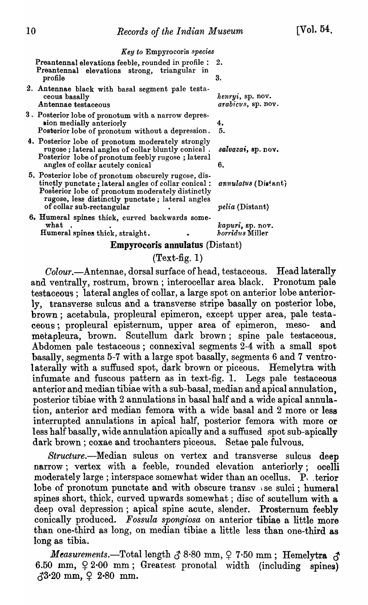$[V<sub>o</sub>]$ , 54,

*Key to* Empyrocoris *species* 

Preantennal elevations feeble, rounded in profile : 2. Preantennal elevations strong, triangular in profile 3.

- 2) Antennae black with basal segment pale testa~ ceous basally *ltenryi,* sp. nov. Antennae testaceous *arabicus,* sp. nov.
- 3 ~ Posterior lobe of pronotum with a narrow depres**sion medially anteriorly**  $\begin{array}{c} 4. \\ 4. \end{array}$ Posterior lobe of pronotum without a depression.
- 4. Posterior lobe of pronotum moderately strongly rugose; lateral angles of collar bluntly conical. *sal'vaza;,* sp. nov. Posterior lobe of pronotum feebly rugose; lateral angles of collar acutely conical 6.
- 5. Posterior lobe of pronotum obscurely rugose, distinctly punctate; lateral angles of collar conical:  $annulatus$  (Distant) Posterior lobe of pronotum moderately distinctly rugose, less distinctly punctate; lateral angles of collar sub-rectangular • *pelia* (Distant)
- 6. Humeral spines thick, curyed backwards somewhat  $\overline{\text{kapuri}}$ , sp. nov.<br> **Example 1** integral spines thick, straight.<br> **Example 2** integrals and the spines thinks the straight.

Humeral spines thick, straight.

#### Empyrocoris annulatus (Distant)

### $(Text-fig. 1)$

*Colour.-Antennae,* dorsal surface of head, testaceous. Head laterally and ventrally, rostrum, brown; interocellar area black. Pronotum pale testaceous; lateral angles of collar, a large spot on anterior lobe anteriorly, transverse sulcus and a transverse stripe basally on posterior lobe, brown; acetabula, propleural epimeron, except upper area, pale testaceous; propleural episternum, upper area of epimeron, meso- and metapleura, brown. Scutellum dark brown; spine pale testaceous. Abdomen pale testaceous; connexival segments 2-4 with a small spot basally, segments 5-7 with a large spot basally, segments 6 and 7 ventrolaterally with a suffused spot, dark brown or piceous. Hemelytra with infumate and fuscous pattern as in text-fig. 1. Legs pale testaceous anterior and median tibiae with a sub-basal, median and apical annulation, posterior tibiae with 2 annulations in basal half and a wide apical annula .. tion, anterior ard median femora with a wide basal and 2 more or less interrupted annulations in apical half, posterior femora with more or less half basally, wide annulation apically and a suffused spot sub-apically dark brown; coxae and trochanters piceous. Setae pale fulvous.

*Structure.-Median* sulcus on vertex and transverse sulcus deep narrow; vertex with a feeble, rounded elevation anteriorly; ocelli moderately large; interspace somewhat wider than an ocellus. P, terior lobe of pronotum punctate and with obscure transv se sulci; humeral spines short, thick, curved upwards somewhat; disc of scutellum with a deep oval depression; apical spine acute, slender. Prosternum feebly conically produced. Fossula spongiosa on anterior tibiae a little more than one-third as long, on median tibiae a little less than one-third as long as tibia.

 $\textit{Measurements.}$ -Total length  $\delta$  8.80 mm,  $\varphi$  7.50 mm; Hemelytra  $\delta$ 6.50 mm,  $92.00$  mm; Greatest pronotal width (including spines)  $\sqrt{3}$ <sup>3</sup>·20 mm,  $\frac{1}{2}$  2·80 mm.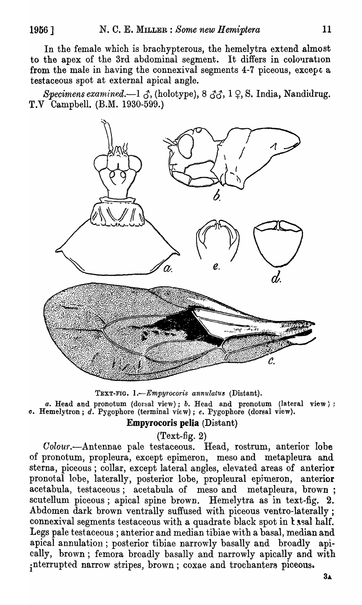In the female which is brachypterous, the hemelytra extend almost to the apex of the 3rd abdominal segment. It differs in colouration from the male in having the connexival segments 4-7 piceous, except a testaceous spot at external apical angle.

*Specimens examined.*—1  $\beta$ , (holotype), 8  $\beta\beta$ , 1  $\beta$ , S. India, Nandidrug. T.V Campbell. (B.M. 1930-599.)



TEXT-FIG. 1.-*Empyrocoris annulatus* (Distant). *a.* Head and pronotum (dorsal view); *b.* Head and pronotum (lateral view}; *o.* Hemelytron; d. Pygophore (terminal view); *e.* Pygophore (dorsal view). Empyrocoris pelia (Distant)

 $(Text-fig. 2)$ 

Colour.-Antennae pale testaceous. Head, rostrum, anterior lobe of pronotum, propleura, except epimeron, meso and metapleura and sterna, piceous; collar, except lateral angles, elevated areas of anterior pronotal lobe, laterally, posterior lobe, propleural epjmeron, anterior acetabula, testaceous; acetabula of meso and metapleura, brown; scutellum piceous; apical spine brown. Hemelytra as in text-fig. 2. Abdomen dark brown ventrally suffused with piceous ventro-laterally; connexival segments testaceous with a quadrate black spot in  $k$  sal half. Legs pale testaceous ; anterior and median tibiae with a basal, median and apical annulation; posterior tibiae narrowly basally and broadly apically, brown; femora broadly basally and narrowly apically and with ; nterrupted narrow stripes, brown; coxae and trochanters piceous.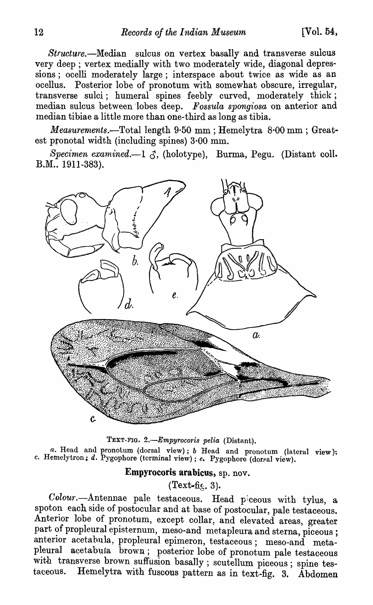*Structure.-Median* sulcus on vertex basally and transverse sulcus very deep; vertex medially with two moderately wide, diagonal depressions; ocelli moderately large; interspace about twice as wide as an ocellus. Posterior lobe of pronotum with somewhat obscure, irregular, transverse sulci; humeral spines feebly curved, moderately thick; median sulcus between 'lobes deep. *Fossula spongiosa* on anterior and median tibiae a little more than one-third as long as tibia.

*Measurements.-Totallength* 9·50 mm ; Hemelytra 8'00 mm ; Greatest pronotal width (including spines)  $3.00$  mm.

*Specimen examined.*-1  $\beta$ , (holotype), Burma, Pegu. (Distant coll. B.M., 1911-383).



TEXT-FIG. 2.-Empyrocoris pelia (Distant). *a.* Head and pronotum (dorsal view); *b* Head and pronotum (lateral view): c. Hemelytron; d. Pygophore (terminal view); e. Pygophore (dorsal view).

### Empyrocoris arabicus, sp. nov.

 $(Text{-}fig. 3).$ 

Colour.--Antennae pale testaceous. Head piceous with tylus, a spoton each side of postocular and at base of postocular, pale testaceous. Anterior lobe of pronotum, except collar, and elevated areas, greater part of propleural episternum, meso-and metapleura and sterna, piceous; anterior acetabula, propleural epimeron, testaceous; meso-and metapleural acetabula brown; posterior lobe of pronotum pale testaceous with transverse brown suffusion basally; scutellum piceous; spine testaceous. Hemelytra with fuscous pattern as in text-fig. 3. Abdomen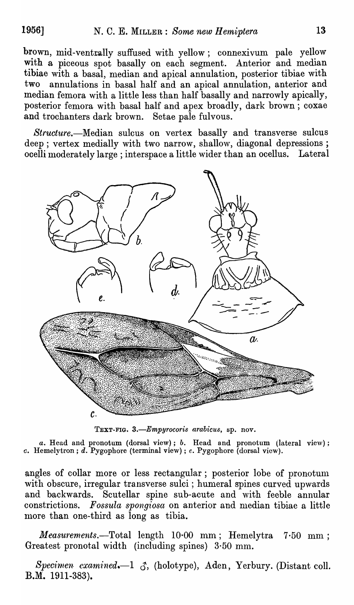brown, mid-ventrally suffused with yellow; connexivum pale yellow with a piceous spot basally on each segment. Anterior and median tibiae with a basal, median and apical annulation, posterior tibiae with two annulations in basal half and an apical annulation, anterior and median femora with a little less than half basally and narrowly apically, posterior femora with basal half and apex broadly, dark brown; coxae and trochanters dark brown. Setae pale fulvous.

*Structure.-Median* sulcus on vertex basally and transverse sulcus deep; vertex medially with two narrow, shallow, diagonal depressions; ocelli moderately large; interspace a little wider than an ocellus. Lateral



TEXT-FIG. *3.-Empyrocoris arabicus,* sp. nov.

*a.* Head and pronotum (dorsal view); *b.* I-Iead and pronotum (lateral view); c. Hemelytron; d. Pygophore (terminal view) ; *e.* Pygophore (dorsal view).

angles of collar more or less rectangular; posterior lobe of pronotum with obscure, irregular transverse sulci; humeral spines curved upwards and backwards. Scutellar spine sub-acute and with feeble annular constrictions. *Fossula spongiosa* on anterior and median tibiae a little more than one-third as long as tibia.

*Measurements.*—Total length 10.00 mm; Hemelytra 7.50 mm; Greatest pronotal width (including spines)  $3.50$  mm.

 $Specimen\; examined. -1\; \mathcal{J}$ , (holotype), Aden, Yerbury. (Distant coll. B.M. 1911-383).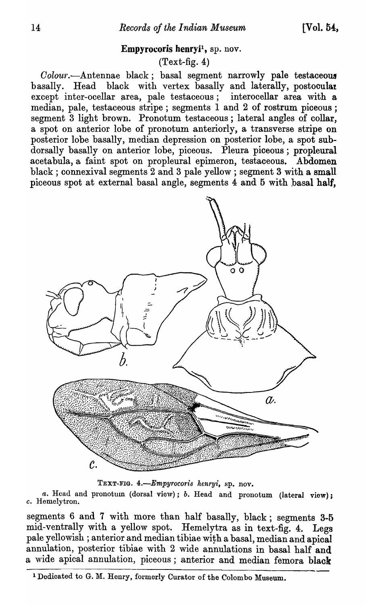#### Empyrocoris henryi<sup>1</sup>, sp. nov.

### $(Text-fig. 4)$

 $Color. -Antennae$  black; basal segment narrowly pale testaceous basally. Head black with vertex basally and laterally, postooulat except inter-ocellar area, pale testaceous; interocellar area with a median, pale, testaceous stripe; segments 1 and 2 of rostrum piceous; segment 3 light brown. Pronotum testaceous; lateral angles of collar, a spot on anterior lobe of pronotum anteriorly, a transverse stripe on posterior lobe basally, median depression on posterior lobe, a spot subdorsally basally on anterior lobe, piceous. Pleura piceous; propleural acetabula, a faint spot on propleural epimeron, testaceous. Abdomen black; connexival segments 2 and 3 pale yellow; segment 3 with a small piceous spot at external basal angle, segments 4 and 5 with basal half,



TEXT-FIG. 4.-Empyrocoris henryi, sp. nov.

*a.* Head and pronotum (dorsal view); *b.* Head and pronotum (lateral view); c. Hemelytron.

segments 6 and 7 with more than half basally, black; segments 3-5 mid-ventrally with a yellow spot. Hemelytra as in text-fig. 4. Legs pale yellowish; anterior and median tibiae with a basal, median and apical annulation, posterior tibiae with 2 wide annulations in basal half and a wide apical annulation, piceous; anterior and median femora black

<sup>1</sup> Dedicated to G. M. Henry, formerly Curator of the Colombo Museum.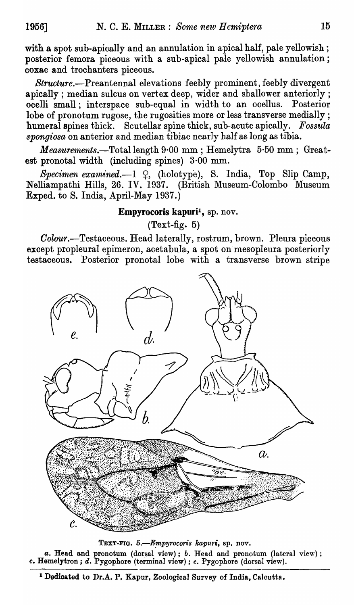with a spot sub-apically and an annulation in apical half, pale yellowish; posterior femora piceous with a sub-apical pale yellowish annulation; coxae and trochanters piceous.

*Structure.-Preantennal* elevations feebly prominent, feebly divergent apically; median sulcus on vertex deep, wider and shallower anteriorly; ocelli small; interspace sub-equal in width to an ocellus. Posterior lobe of pronotum rugose, the rugosities more or less transverse medially; humeral spines thick. Scutellar spine thick, sub-acute apically. *Fossula spongt'osa* on anterior and median tibiae nearly half as long as tibia.

*Measurements.-Totallength* 9·00 mm ; Hemelytra 5·50 mm; Greatest pronotal width (including spines)  $3.00$  mm.

Specimen examined.-1  $\varphi$ , (holotype), S. India, Top Slip Camp, N"elliampathi Hills, 26. IV. 1937. (British Museum-Colombo Museum Exped. to S. India, April-May 1937.)

### Empyrocoris kapuri<sup>1</sup>, sp. nov.

 $(Text-fig. 5)$ 

*Colour.-Testaceous.* Head laterally, rostrum, brown. Pleura piceous except propleural epimeron, acetabula, a spot on mesopleura posteriorly testaceous. Posterior pronotal lobe with a transverse brown stripe



TEXT-FIG. 5.-Empyrocoris kapuri, sp. nov. a. Head and pronotum (dorsal view); *b*. Head and pronotum (lateral view); c. Hemelytron; d. Pygophore (terminal view) ; *e.* Pygophore (dorsal view).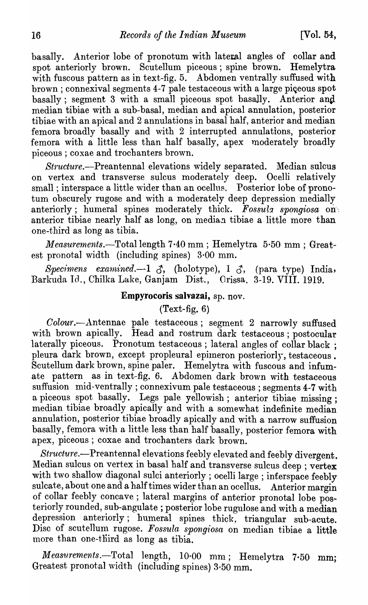basally. Anterior lobe of pronotum with lateral angles of collar and spot anteriorly brown. Scutellum piceous; spine brown. Hemelytra with fuscous pattern as in text-fig. 5. Abdomen ventrally suffused with brown; connexival segments 4-7 pale testaceous with a large piceous spot basally; segment 3 with a small piceous spot basally. Anterior and median tibiae with a sub-basal, median and apical annulation, posterior tibiae with an apical and 2 annulations in basal half, anterior and median femora broadly basally and with 2 interrupted annulations, posterior femora with a little less than half basally, apex moderately broadly piceous; coxae and trochanters brown.

*Structure.-Preantennal* elevations widely separated. Median sulcus on vertex and transverse sulcus moderately deep. Ocelli relatively small; interspace a little wider than an ocellus. Posterior lobe of pronotum obscurely rugose and with a moderately deep depression medially anteriorly; humeral spines moderately thick. Fossula spongiosa on anterior tibiae nearly half as long, on median tibiae a little more than one-third as long as tibia.

*Measurements.*-Total length 7.40 mm; Hemelytra 5.50 mm; Greatest pronotal width (including spines)  $3.00$  mm.

Specimens examined. -- 1  $\delta$ , (holotype), 1  $\delta$ , (para type) India, Barkuda Id., Chilka Lake, Ganjam Dist., Orissa. 3-19. VIII. 1919.

# Empyrocoris salvazai, sp. nov.

# $(Text-fig. 6)$

*Colou'f.-.A.ntennae* pale testaceous; segment 2 narrowly suffused with brown apically. Head and rostrum dark testaceous; postocular laterally piceous. Pronotum testaceous; lateral angles of collar black; pleura dark brown, except propleural epimeron posteriorly, testaceous. Scutellum dark brown, spine paler. Hemelytra with fuscous and infumate pattern as in text-fig. 6. Abdomen dark brown with testaceous suffusion mid-ventrally; connexivum pale testaceous ; segments 4-7 with a piceous spot basally. Legs pale yellowish; anterior tibiae missing; median tibiae broadly apically and with a somewhat indefinite median annulation, posterior tibiae broadly apically and with a narrow suffusion basally, femora with a little less than half basally, posterior femora with apex, piceous; coxae and trochanters dark brown.

*Structure.*-Preantennal elevations feebly elevated and feebly divergent. Median sulcus on vertex in basal half and transverse sulcus deep ; vertex with two shallow diagonal sulci anteriorly; ocelli large; interspace feebly sulcate, about one and a half times wider than an ocellus. Anterior margin of collar feebly concave; lateral margins of anterior pronotal lobe posteriorly rounded, sub-angulate ; posterior lobe rugulose and with a median depression anteriorly; humeral spines thick, triangular sub-acute. Disc of scutellum rugose. Fossula spongiosa on median tibiae a little more than one-third as long as tibia.

*Measurements.*-Total length, 10.00 mm; Hemelytra 7.50 mm; Greatest pronotal width (including spines) 3·50 mm.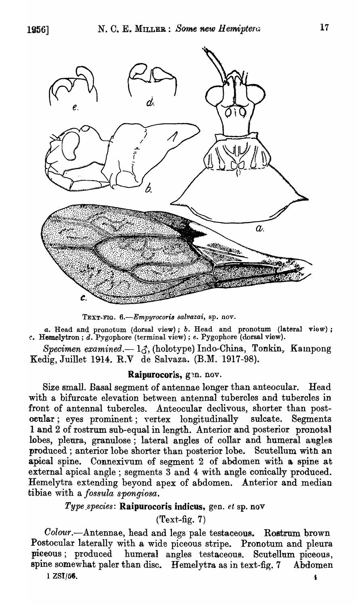

TEXT-FIG. 6.-Empyrocoris salvazai, sp. nov.

*a.* Head and pronotum (dorsal view); *b.* Head and pronotum (lateral view); *c.* Hemelytron; d. Pygophore (terminal view) ; *e.* Pygophore (dorsal view).

Specimen examined.- 13, (holotype) Indo-China, Tonkin, Kampong Kedig, Juillet 1914. R.V de Salvaza. (B.M. 1917-98).

#### Raipurocoris, gen. nov.

Size small. Basal segment of antennae longer than anteocular. Head with a bifurcate elevation between antennal tubercles and tubercles in front of antennal tubercles. Anteocular declivous, shorter than postocular; eyes prominent; vertex longitudinally sulcate. Segments 1 and 2 of rostrum sub-equal in length. Anterior and posterior pronotal lobes, pleura, granulose; lateral angles of collar and humeral angles produced; anterior lobe shorter than posterior lobe. Scutellum with an apical spine. Connexivum of segment 2 of abdomen with a. spine at external apical angle; segments 3 and 4 with angle conically produced. Hemelytra extending beyond apex of abdomen. Anterior and median tibiae with a *fossula spongiosa.* 

### *Type \_species:* Raipurocoris indicus, gen. *et* sp. nov

 $(Text-fig. 7)$ 

*Oolour.-Antennae,* head and legs pale testaceous. Rostrum brown Postocular laterally with a wide piceous stripe. Pronotum and pleura -piceous; produced humeral angles testaceous. Scutellom piceous, spine somewhat paler than disc. Hemelytra as in text-fig. 7 Abdomen

 $1 \; 2\mathrm{SI}/56.$   $4 \;$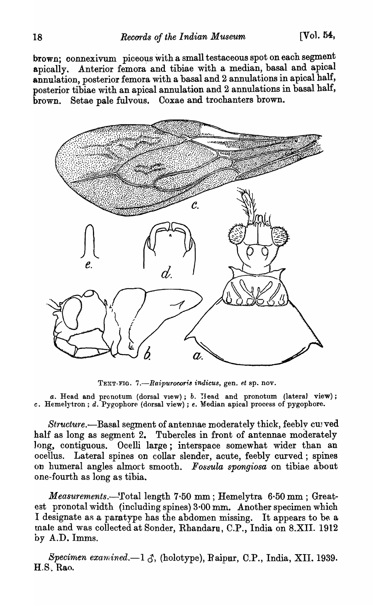brown; connexivum piceous with a small testaceous spot on each segment apically. Anterior femora and tibiae with a median, basal and apical annulation, posterior femora with a basal and 2 annulations in apical half, posterior tibiae with an apical annulation and 2 annulations in basal half, brown. Setae pale fulvous. Coxae and trochanters brown.



TEXT-FIG. 7.-Raipurocoris indicus, gen. et sp. nov.

a. Head and pronotum (dorsal view); *b.* Head and pronotum (lateral view); *c.* Hemelyt.ron; d. Pygophore (dorsal view) ; *e.* Median apical process of pygophore.

*Structure.*—Basal segment of antennae moderately thick, feebly cupved half as long as segment 2. Tubercles in front of antennae moderately long, contiguous. Ocelli large; interspace somewhat wider than an ocellus. Lateral spines on collar slender, acute, feebly curved; spines on humeral angles almort smooth. *Fossula spongiosa* on tibiae about one-fourth as long as tibia.

*Measurements.-'fotallength* 7·50 mm; Hemelytra 6·50 mm; Greatest pronotal width (including spines) 3·00 mm. Another specimen which I designate as a paratype has the abdomen missing. It appears to be a male and was collected at Sonder, Rhandaru, C.P., India on S.XII. 1912 by A.D. Imms.

*Specimen examined.*-1  $\delta$ , (holotype), Raipur, C.P., India, XII. 1939. H.S. Rao.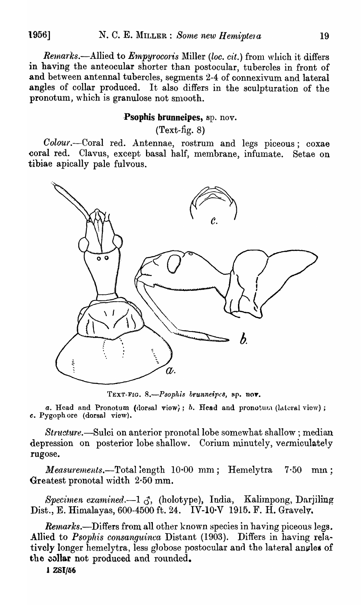Remarks.--Allied to *Empyrocoris* Miller *(loc. cit.)* from which it differs in having the anteocular shorter than postocular, tubercles in front of and between antennal tubercles, segments 2-4 of connexivum and lateral angles of collar produced. It also differs in the sculpturation of the pronotum, which is granulose not smooth.

### Psophis brunneipes, sp. nov.

 $(Text-fig. 8)$ 

Colour.--Coral red. Antennae, rostrum and legs piceous; coxae coral red. Clavus, except basal half, membrane, infumate. Setae on tibiae apically pale fulvous.



TEXT-FIG. 8.-Psophis brunneipes, sp. nov.

a. Head and Pronotum (dorsal view); *b.* Head and pronotum (lateral view); *c.* Pygoph ore (dorsal view).

Structure.—Sulci on anterior pronotal lobe somewhat shallow; median depression on posterior lobe shallow. Corium minutely, vermiculately rugose.

*Measurements.*—Total length 10.00 mm; Hemelytra 7.50 mm; Greatest pronotal width  $2.50$  mm.

*Specimen examined.*-1  $\delta$ , (holotype), India, Kalimpong, Darjiling Dist., E. Himalayas, 600-4500 ft. 24. IV-IO·V 1915. F. H. Gravelv.

*Remarks.*—Differs from all other known species in having piceous legs. Allied to *Psophis consanguinca* Distant (1903). Differs in having relatively longer hemelytra, less globose postocular and the lateral angles of the collar not produced and rounded.

1 ZSI/56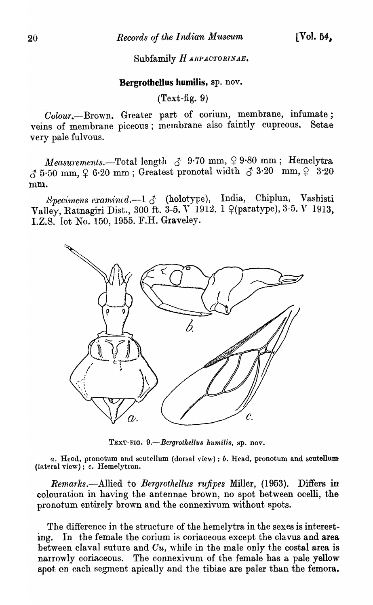### Subfamily HARPACTORINAE.

#### Bergrothellus humilis, sp. nov.

 $(Text-fig. 9)$ 

Colour.--Brown. Greater part of corium, membrane, infumate; veins of membrane piceous; inembrane also faintly cupreous. Setae very pale fulvous.

*Measurements.*--Total length  $\delta$  9.70 mm,  $\varphi$  9.80 mm; Hemelytra  $\delta$  5.50 mm,  $\varphi$  6.20 mm; Greatest pronotal width  $\delta$  3.20 nm,  $\varphi$  3.20 mm.

Specimens examined.-1  $\delta$  (holotype), India, Chiplun, Vashisti Valley, Ratnagiri Dist., 300 ft. 3-5. V 1912. 1  $\varphi$ (paratype), 3-5. *V* 1913. l.Z.S. lot No. 150, 1955. F.R. Graveley.



TEXT-FIG. 9.-Bergrothellus humilis, sp. nov.

a. Heod, pronotum and scutellum (dorsal view); *b*. Head, pronotum and scutellum (lateral view); c. Hemelytron.

*Remarks.*—Allied to *Bergrothellus rufipes* Miller, (1953). Differs in colouration in having the antennae brown, no spot between ocelli, thepronotum entirely brown and the connexivum without spots.

The difference in the structure of the hemelytra in the sexes is intereeting. In the female the corium is coriaceous except the clavus and area between claval suture and  $Cu$ , while in the male only the costal area is narrowly coriaceous. The connexivum of the female has a pale yellow spot on each segment apically and the tibiae are paler than the femora.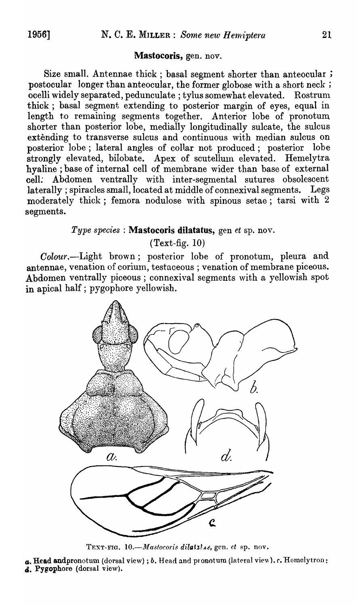### Mastocoris, gen. nov.

Size small. Antennae thick; basal segment shorter than anteocular; postocular longer than anteocular, the former globose with a short neck ; ocelli widely separated, pedunculate; tylus somewhat elevated. Rostrum thick; basal segment extending to posterior margin of eyes, equal in length to remaining segments together. Anterior lobe of pronotum shorter than posterior lobe, medially longitudinally sulcate, the sulcus extending to transverse sulcus and continuous with median sulcus on posterior lobe; lateral angles of collar not produced; posterior lobe strongly elevated, bilobate. Apex of scutellum elevated. Hemelytra hyaline ; base of internal cell of membrane wider than base of external cell: Abdomen ventrally with inter-segmental sutures obsolescent laterally; spiracles small, located at middle of connexival segments. Legs moderately thick; femora nodulose with spinous setae; tarsi with 2 segments.

# *Type species:* Mastocoris dilatatus, gen *et* sp. nov.

# $(Text-fig. 10)$

Colour.--Light brown; posterior lobe of pronotum, pleura and antennae, venation of corium, testaceous ; venation of membrane piceous. Abdomen ventrally piceous; connexival segments \vith a yellowish spot in apical half; pygophore yellowish.



TEXT-FIG. 10.-Mastocoris dilatiles, gen. et sp. nov.

 $a.$  Head and pronotum (dorsal view); *b.* Head and proxotum (lateral view). *c.* Hemelytron; d. Pygophore (dorsal view).